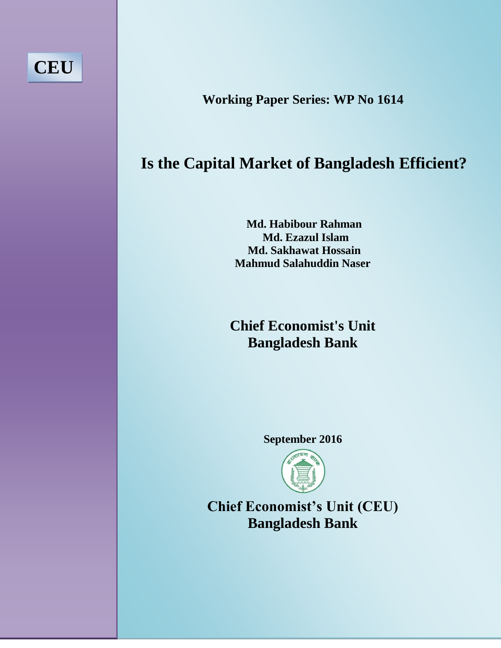

**Working Paper Series: WP No 1614**

# **Is the Capital Market of Bangladesh Efficient?**

**Md. Habibour Rahman Md. Ezazul Islam Md. Sakhawat Hossain Mahmud Salahuddin Naser** 

**Chief Economist's Unit Bangladesh Bank**

**September 2016**



**Chief Economist's Unit (CEU) Bangladesh Bank**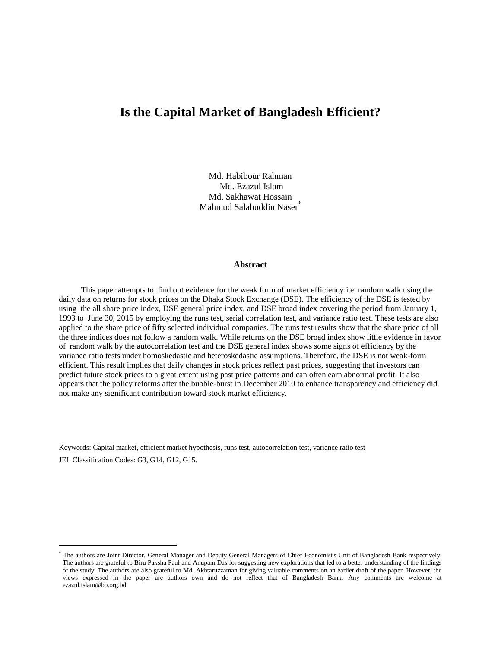# **Is the Capital Market of Bangladesh Efficient?**

Md. Habibour Rahman Md. Ezazul Islam Md. Sakhawat Hossain Mahmud Salahuddin Naser*\**

#### **Abstract**

This paper attempts to find out evidence for the weak form of market efficiency i.e. random walk using the daily data on returns for stock prices on the Dhaka Stock Exchange (DSE). The efficiency of the DSE is tested by using the all share price index, DSE general price index, and DSE broad index covering the period from January 1, 1993 to June 30, 2015 by employing the runs test, serial correlation test, and variance ratio test. These tests are also applied to the share price of fifty selected individual companies. The runs test results show that the share price of all the three indices does not follow a random walk. While returns on the DSE broad index show little evidence in favor of random walk by the autocorrelation test and the DSE general index shows some signs of efficiency by the variance ratio tests under homoskedastic and heteroskedastic assumptions. Therefore, the DSE is not weak-form efficient. This result implies that daily changes in stock prices reflect past prices, suggesting that investors can predict future stock prices to a great extent using past price patterns and can often earn abnormal profit. It also appears that the policy reforms after the bubble-burst in December 2010 to enhance transparency and efficiency did not make any significant contribution toward stock market efficiency.

Keywords: Capital market, efficient market hypothesis, runs test, autocorrelation test, variance ratio test JEL Classification Codes: G3, G14, G12, G15.

<sup>\*</sup> The authors are Joint Director, General Manager and Deputy General Managers of Chief Economist's Unit of Bangladesh Bank respectively. The authors are grateful to Biru Paksha Paul and Anupam Das for suggesting new explorations that led to a better understanding of the findings of the study. The authors are also grateful to Md. Akhtaruzzaman for giving valuable comments on an earlier draft of the paper. However, the views expressed in the paper are authors own and do not reflect that of Bangladesh Bank. Any comments are welcome at ezazul.islam@bb.org.bd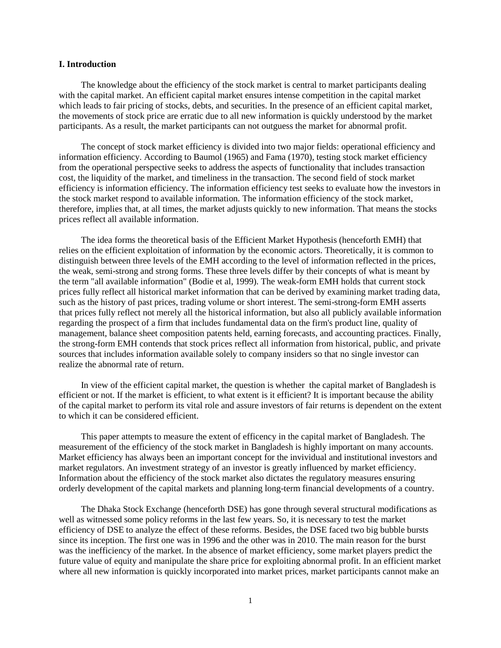#### **I. Introduction**

The knowledge about the efficiency of the stock market is central to market participants dealing with the capital market. An efficient capital market ensures intense competition in the capital market which leads to fair pricing of stocks, debts, and securities. In the presence of an efficient capital market, the movements of stock price are erratic due to all new information is quickly understood by the market participants. As a result, the market participants can not outguess the market for abnormal profit.

The concept of stock market efficiency is divided into two major fields: operational efficiency and information efficiency. According to Baumol (1965) and Fama (1970), testing stock market efficiency from the operational perspective seeks to address the aspects of functionality that includes transaction cost, the liquidity of the market, and timeliness in the transaction. The second field of stock market efficiency is information efficiency. The information efficiency test seeks to evaluate how the investors in the stock market respond to available information. The information efficiency of the stock market, therefore, implies that, at all times, the market adjusts quickly to new information. That means the stocks prices reflect all available information.

The idea forms the theoretical basis of the Efficient Market Hypothesis (henceforth EMH) that relies on the efficient exploitation of information by the economic actors. Theoretically, it is common to distinguish between three levels of the EMH according to the level of information reflected in the prices, the weak, semi-strong and strong forms. These three levels differ by their concepts of what is meant by the term "all available information" (Bodie et al, 1999). The weak-form EMH holds that current stock prices fully reflect all historical market information that can be derived by examining market trading data, such as the history of past prices, trading volume or short interest. The semi-strong-form EMH asserts that prices fully reflect not merely all the historical information, but also all publicly available information regarding the prospect of a firm that includes fundamental data on the firm's product line, quality of management, balance sheet composition patents held, earning forecasts, and accounting practices. Finally, the strong-form EMH contends that stock prices reflect all information from historical, public, and private sources that includes information available solely to company insiders so that no single investor can realize the abnormal rate of return.

In view of the efficient capital market, the question is whether the capital market of Bangladesh is efficient or not. If the market is efficient, to what extent is it efficient? It is important because the ability of the capital market to perform its vital role and assure investors of fair returns is dependent on the extent to which it can be considered efficient.

This paper attempts to measure the extent of efficency in the capital market of Bangladesh. The measurement of the efficiency of the stock market in Bangladesh is highly important on many accounts. Market efficiency has always been an important concept for the invividual and institutional investors and market regulators. An investment strategy of an investor is greatly influenced by market efficiency. Information about the efficiency of the stock market also dictates the regulatory measures ensuring orderly development of the capital markets and planning long-term financial developments of a country.

The Dhaka Stock Exchange (henceforth DSE) has gone through several structural modifications as well as witnessed some policy reforms in the last few years. So, it is necessary to test the market efficiency of DSE to analyze the effect of these reforms. Besides, the DSE faced two big bubble bursts since its inception. The first one was in 1996 and the other was in 2010. The main reason for the burst was the inefficiency of the market. In the absence of market efficiency, some market players predict the future value of equity and manipulate the share price for exploiting abnormal profit. In an efficient market where all new information is quickly incorporated into market prices, market participants cannot make an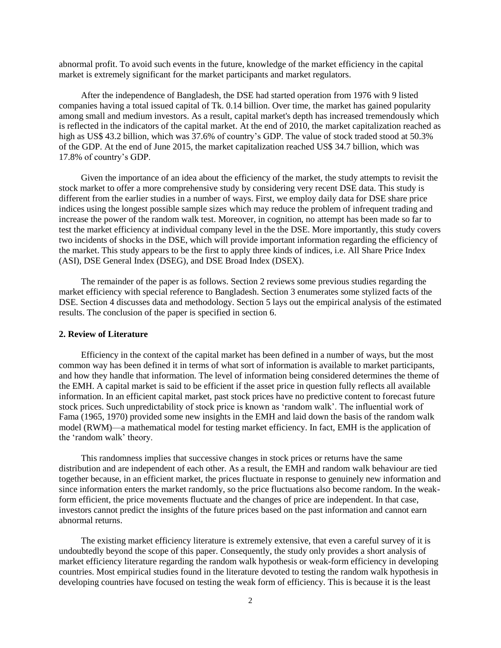abnormal profit. To avoid such events in the future, knowledge of the market efficiency in the capital market is extremely significant for the market participants and market regulators.

After the independence of Bangladesh, the DSE had started operation from 1976 with 9 listed companies having a total issued capital of Tk. 0.14 billion. Over time, the market has gained popularity among small and medium investors. As a result, capital market's depth has increased tremendously which is reflected in the indicators of the capital market. At the end of 2010, the market capitalization reached as high as US\$ 43.2 billion, which was 37.6% of country's GDP. The value of stock traded stood at 50.3% of the GDP. At the end of June 2015, the market capitalization reached US\$ 34.7 billion, which was 17.8% of country's GDP.

Given the importance of an idea about the efficiency of the market, the study attempts to revisit the stock market to offer a more comprehensive study by considering very recent DSE data. This study is different from the earlier studies in a number of ways. First, we employ daily data for DSE share price indices using the longest possible sample sizes which may reduce the problem of infrequent trading and increase the power of the random walk test. Moreover, in cognition, no attempt has been made so far to test the market efficiency at individual company level in the the DSE. More importantly, this study covers two incidents of shocks in the DSE, which will provide important information regarding the efficiency of the market. This study appears to be the first to apply three kinds of indices, i.e. All Share Price Index (ASI), DSE General Index (DSEG), and DSE Broad Index (DSEX).

The remainder of the paper is as follows. Section 2 reviews some previous studies regarding the market efficiency with special reference to Bangladesh. Section 3 enumerates some stylized facts of the DSE. Section 4 discusses data and methodology. Section 5 lays out the empirical analysis of the estimated results. The conclusion of the paper is specified in section 6.

#### **2. Review of Literature**

Efficiency in the context of the capital market has been defined in a number of ways, but the most common way has been defined it in terms of what sort of information is available to market participants, and how they handle that information. The level of information being considered determines the theme of the EMH. A capital market is said to be efficient if the asset price in question fully reflects all available information. In an efficient capital market, past stock prices have no predictive content to forecast future stock prices. Such unpredictability of stock price is known as 'random walk'. The influential work of Fama (1965, 1970) provided some new insights in the EMH and laid down the basis of the random walk model (RWM)—a mathematical model for testing market efficiency. In fact, EMH is the application of the 'random walk' theory.

This randomness implies that successive changes in stock prices or returns have the same distribution and are independent of each other. As a result, the EMH and random walk behaviour are tied together because, in an efficient market, the prices fluctuate in response to genuinely new information and since information enters the market randomly, so the price fluctuations also become random. In the weakform efficient, the price movements fluctuate and the changes of price are independent. In that case, investors cannot predict the insights of the future prices based on the past information and cannot earn abnormal returns.

The existing market efficiency literature is extremely extensive, that even a careful survey of it is undoubtedly beyond the scope of this paper. Consequently, the study only provides a short analysis of market efficiency literature regarding the random walk hypothesis or weak-form efficiency in developing countries. Most empirical studies found in the literature devoted to testing the random walk hypothesis in developing countries have focused on testing the weak form of efficiency. This is because it is the least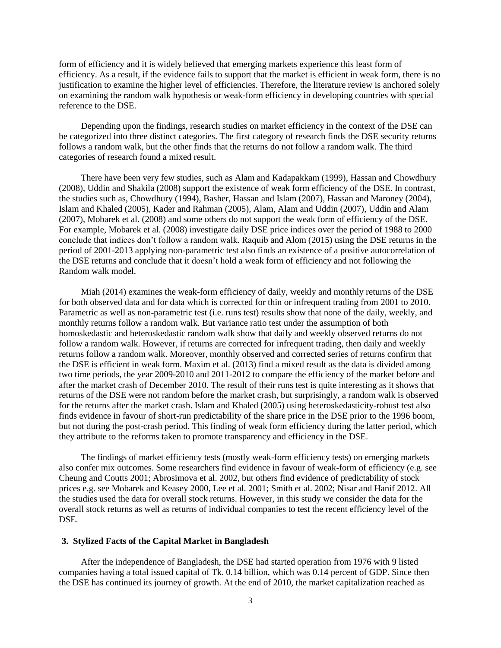form of efficiency and it is widely believed that emerging markets experience this least form of efficiency. As a result, if the evidence fails to support that the market is efficient in weak form, there is no justification to examine the higher level of efficiencies. Therefore, the literature review is anchored solely on examining the random walk hypothesis or weak-form efficiency in developing countries with special reference to the DSE.

Depending upon the findings, research studies on market efficiency in the context of the DSE can be categorized into three distinct categories. The first category of research finds the DSE security returns follows a random walk, but the other finds that the returns do not follow a random walk. The third categories of research found a mixed result.

There have been very few studies, such as Alam and Kadapakkam (1999), Hassan and Chowdhury (2008), Uddin and Shakila (2008) support the existence of weak form efficiency of the DSE. In contrast, the studies such as, Chowdhury (1994), Basher, Hassan and Islam (2007), Hassan and Maroney (2004), Islam and Khaled (2005), Kader and Rahman (2005), Alam, Alam and Uddin (2007), Uddin and Alam (2007), Mobarek et al. (2008) and some others do not support the weak form of efficiency of the DSE. For example, Mobarek et al. (2008) investigate daily DSE price indices over the period of 1988 to 2000 conclude that indices don't follow a random walk. Raquib and Alom (2015) using the DSE returns in the period of 2001-2013 applying non-parametric test also finds an existence of a positive autocorrelation of the DSE returns and conclude that it doesn't hold a weak form of efficiency and not following the Random walk model.

Miah (2014) examines the weak-form efficiency of daily, weekly and monthly returns of the DSE for both observed data and for data which is corrected for thin or infrequent trading from 2001 to 2010. Parametric as well as non-parametric test (i.e. runs test) results show that none of the daily, weekly, and monthly returns follow a random walk. But variance ratio test under the assumption of both homoskedastic and heteroskedastic random walk show that daily and weekly observed returns do not follow a random walk. However, if returns are corrected for infrequent trading, then daily and weekly returns follow a random walk. Moreover, monthly observed and corrected series of returns confirm that the DSE is efficient in weak form. Maxim et al. (2013) find a mixed result as the data is divided among two time periods, the year 2009-2010 and 2011-2012 to compare the efficiency of the market before and after the market crash of December 2010. The result of their runs test is quite interesting as it shows that returns of the DSE were not random before the market crash, but surprisingly, a random walk is observed for the returns after the market crash. Islam and Khaled (2005) using heteroskedasticity-robust test also finds evidence in favour of short-run predictability of the share price in the DSE prior to the 1996 boom, but not during the post-crash period. This finding of weak form efficiency during the latter period, which they attribute to the reforms taken to promote transparency and efficiency in the DSE.

The findings of market efficiency tests (mostly weak-form efficiency tests) on emerging markets also confer mix outcomes. Some researchers find evidence in favour of weak-form of efficiency (e.g. see Cheung and Coutts 2001; Abrosimova et al. 2002, but others find evidence of predictability of stock prices e.g. see Mobarek and Keasey 2000, Lee et al. 2001; Smith et al. 2002; Nisar and Hanif 2012. All the studies used the data for overall stock returns. However, in this study we consider the data for the overall stock returns as well as returns of individual companies to test the recent efficiency level of the DSE.

### **3. Stylized Facts of the Capital Market in Bangladesh**

After the independence of Bangladesh, the DSE had started operation from 1976 with 9 listed companies having a total issued capital of Tk. 0.14 billion, which was 0.14 percent of GDP. Since then the DSE has continued its journey of growth. At the end of 2010, the market capitalization reached as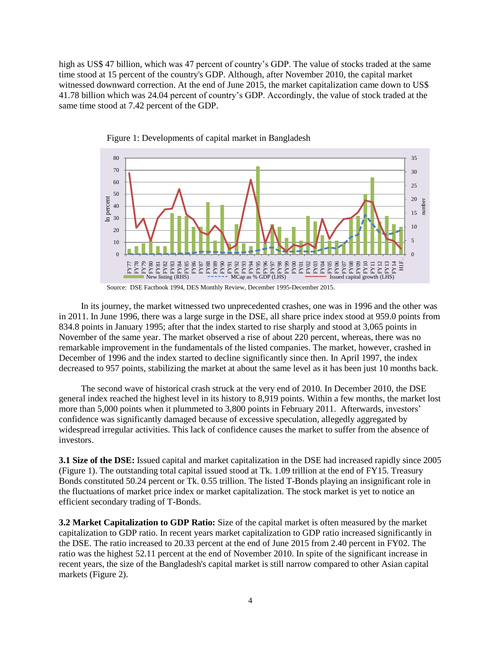high as US\$ 47 billion, which was 47 percent of country's GDP. The value of stocks traded at the same time stood at 15 percent of the country's GDP. Although, after November 2010, the capital market witnessed downward correction. At the end of June 2015, the market capitalization came down to US\$ 41.78 billion which was 24.04 percent of country's GDP. Accordingly, the value of stock traded at the same time stood at 7.42 percent of the GDP.



Figure 1: Developments of capital market in Bangladesh

In its journey, the market witnessed two unprecedented crashes, one was in 1996 and the other was in 2011. In June 1996, there was a large surge in the DSE, all share price index stood at 959.0 points from 834.8 points in January 1995; after that the index started to rise sharply and stood at 3,065 points in November of the same year. The market observed a rise of about 220 percent, whereas, there was no remarkable improvement in the fundamentals of the listed companies. The market, however, crashed in December of 1996 and the index started to decline significantly since then. In April 1997, the index decreased to 957 points, stabilizing the market at about the same level as it has been just 10 months back.

The second wave of historical crash struck at the very end of 2010. In December 2010, the DSE general index reached the highest level in its history to 8,919 points. Within a few months, the market lost more than 5,000 points when it plummeted to 3,800 points in February 2011. Afterwards, investors' confidence was significantly damaged because of excessive speculation, allegedly aggregated by widespread irregular activities. This lack of confidence causes the market to suffer from the absence of investors.

**3.1 Size of the DSE:** Issued capital and market capitalization in the DSE had increased rapidly since 2005 (Figure 1). The outstanding total capital issued stood at Tk. 1.09 trillion at the end of FY15. Treasury Bonds constituted 50.24 percent or Tk. 0.55 trillion. The listed T-Bonds playing an insignificant role in the fluctuations of market price index or market capitalization. The stock market is yet to notice an efficient secondary trading of T-Bonds.

**3.2 Market Capitalization to GDP Ratio:** Size of the capital market is often measured by the market capitalization to GDP ratio. In recent years market capitalization to GDP ratio increased significantly in the DSE. The ratio increased to 20.33 percent at the end of June 2015 from 2.40 percent in FY02. The ratio was the highest 52.11 percent at the end of November 2010. In spite of the significant increase in recent years, the size of the Bangladesh's capital market is still narrow compared to other Asian capital markets (Figure 2).

Source: DSE Factbook 1994, DES Monthly Review, December 1995-December 2015.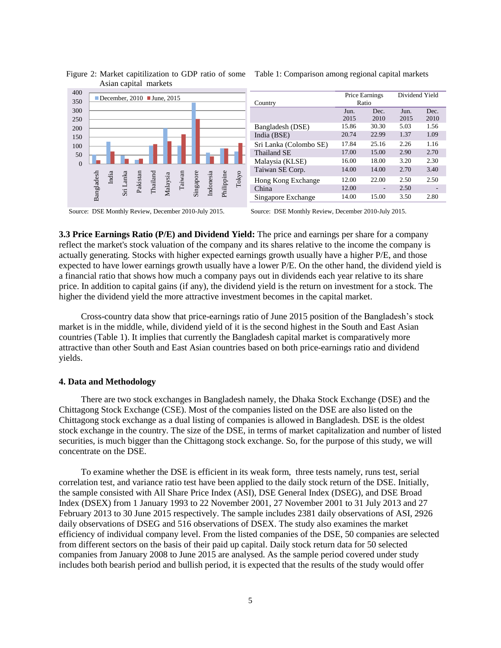

#### Figure 2: Market capitilization to GDP ratio of some Table 1: Comparison among regional capital markets Asian capital markets

**3.3 Price Earnings Ratio (P/E) and Dividend Yield:** The price and earnings per share for a company reflect the market's stock valuation of the company and its shares relative to the income the company is actually generating. Stocks with higher expected earnings growth usually have a higher P/E, and those expected to have lower earnings growth usually have a lower P/E. On the other hand, the dividend yield is a financial ratio that shows how much a company pays out in dividends each year relative to its share price. In addition to capital gains (if any), the dividend yield is the return on investment for a stock. The higher the dividend yield the more attractive investment becomes in the capital market.

Cross-country data show that price-earnings ratio of June 2015 position of the Bangladesh's stock market is in the middle, while, dividend yield of it is the second highest in the South and East Asian countries (Table 1). It implies that currently the Bangladesh capital market is comparatively more attractive than other South and East Asian countries based on both price-earnings ratio and dividend yields.

#### **4. Data and Methodology**

There are two stock exchanges in Bangladesh namely, the Dhaka Stock Exchange (DSE) and the Chittagong Stock Exchange (CSE). Most of the companies listed on the DSE are also listed on the Chittagong stock exchange as a dual listing of companies is allowed in Bangladesh. DSE is the oldest stock exchange in the country. The size of the DSE, in terms of market capitalization and number of listed securities, is much bigger than the Chittagong stock exchange. So, for the purpose of this study, we will concentrate on the DSE.

To examine whether the DSE is efficient in its weak form, three tests namely, runs test, serial correlation test, and variance ratio test have been applied to the daily stock return of the DSE. Initially, the sample consisted with All Share Price Index (ASI), DSE General Index (DSEG), and DSE Broad Index (DSEX) from 1 January 1993 to 22 November 2001, 27 November 2001 to 31 July 2013 and 27 February 2013 to 30 June 2015 respectively. The sample includes 2381 daily observations of ASI, 2926 daily observations of DSEG and 516 observations of DSEX. The study also examines the market efficiency of individual company level. From the listed companies of the DSE, 50 companies are selected from different sectors on the basis of their paid up capital. Daily stock return data for 50 selected companies from January 2008 to June 2015 are analysed. As the sample period covered under study includes both bearish period and bullish period, it is expected that the results of the study would offer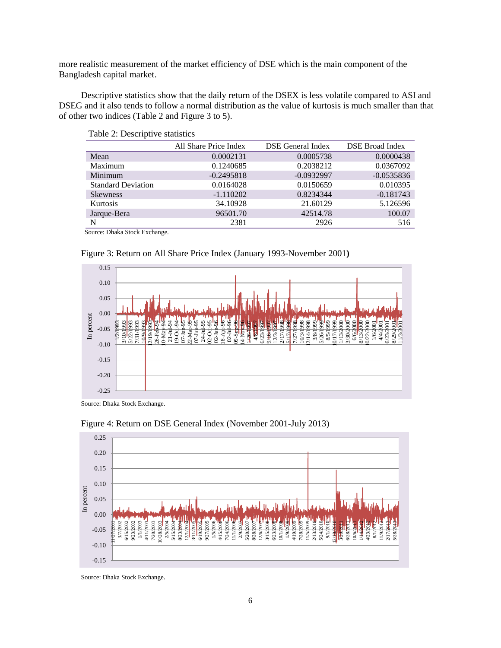more realistic measurement of the market efficiency of DSE which is the main component of the Bangladesh capital market.

Descriptive statistics show that the daily return of the DSEX is less volatile compared to ASI and DSEG and it also tends to follow a normal distribution as the value of kurtosis is much smaller than that of other two indices (Table 2 and Figure 3 to 5).

|                           | All Share Price Index | <b>DSE</b> General Index | DSE Broad Index |
|---------------------------|-----------------------|--------------------------|-----------------|
| Mean                      | 0.0002131             | 0.0005738                | 0.0000438       |
| Maximum                   | 0.1240685             | 0.2038212                | 0.0367092       |
| Minimum                   | $-0.2495818$          | $-0.0932997$             | $-0.0535836$    |
| <b>Standard Deviation</b> | 0.0164028             | 0.0150659                | 0.010395        |
| <b>Skewness</b>           | $-1.110202$           | 0.8234344                | $-0.181743$     |
| Kurtosis                  | 34.10928              | 21.60129                 | 5.126596        |
| Jarque-Bera               | 96501.70              | 42514.78                 | 100.07          |
| N                         | 2381                  | 2926                     | 516             |

#### Table 2: Descriptive statistics

Source: Dhaka Stock Exchange.



#### Figure 3: Return on All Share Price Index (January 1993-November 2001**)**

Source: Dhaka Stock Exchange.



Figure 4: Return on DSE General Index (November 2001-July 2013)

Source: Dhaka Stock Exchange.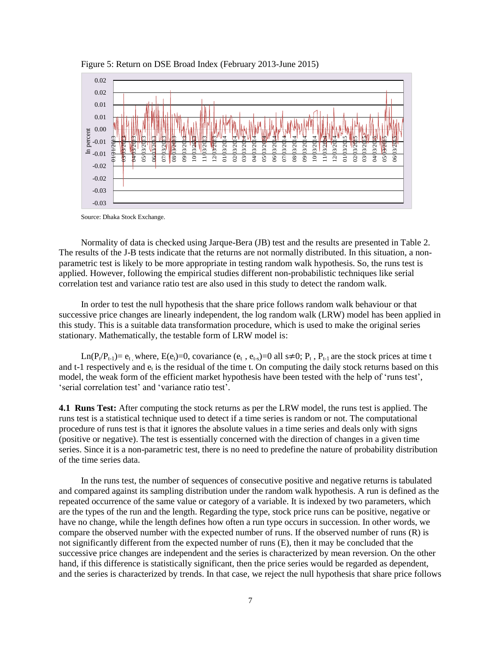

Figure 5: Return on DSE Broad Index (February 2013-June 2015)

Source: Dhaka Stock Exchange.

Normality of data is checked using Jarque-Bera (JB) test and the results are presented in Table 2. The results of the J-B tests indicate that the returns are not normally distributed. In this situation, a nonparametric test is likely to be more appropriate in testing random walk hypothesis. So, the runs test is applied. However, following the empirical studies different non-probabilistic techniques like serial correlation test and variance ratio test are also used in this study to detect the random walk.

In order to test the null hypothesis that the share price follows random walk behaviour or that successive price changes are linearly independent, the log random walk (LRW) model has been applied in this study. This is a suitable data transformation procedure, which is used to make the original series stationary. Mathematically, the testable form of LRW model is:

Ln(P<sub>t</sub>/P<sub>t-1</sub>)=  $e_t$ , where, E( $e_t$ )=0, covariance ( $e_t$ ,  $e_{t-s}$ )=0 all s≠0; P<sub>t</sub>, P<sub>t-1</sub> are the stock prices at time t and t-1 respectively and  $e_t$  is the residual of the time t. On computing the daily stock returns based on this model, the weak form of the efficient market hypothesis have been tested with the help of 'runs test', ‗serial correlation test' and ‗variance ratio test'.

**4.1 Runs Test:** After computing the stock returns as per the LRW model, the runs test is applied. The runs test is a statistical technique used to detect if a time series is random or not. The computational procedure of runs test is that it ignores the absolute values in a time series and deals only with signs (positive or negative). The test is essentially concerned with the direction of changes in a given time series. Since it is a non-parametric test, there is no need to predefine the nature of probability distribution of the time series data.

In the runs test, the number of sequences of consecutive positive and negative returns is tabulated and compared against its sampling distribution under the random walk hypothesis. A run is defined as the repeated occurrence of the same value or category of a variable. It is indexed by two parameters, which are the types of the run and the length. Regarding the type, stock price runs can be positive, negative or have no change, while the length defines how often a run type occurs in succession. In other words, we compare the observed number with the expected number of runs. If the observed number of runs (R) is not significantly different from the expected number of runs (E), then it may be concluded that the successive price changes are independent and the series is characterized by mean reversion. On the other hand, if this difference is statistically significant, then the price series would be regarded as dependent, and the series is characterized by trends. In that case, we reject the null hypothesis that share price follows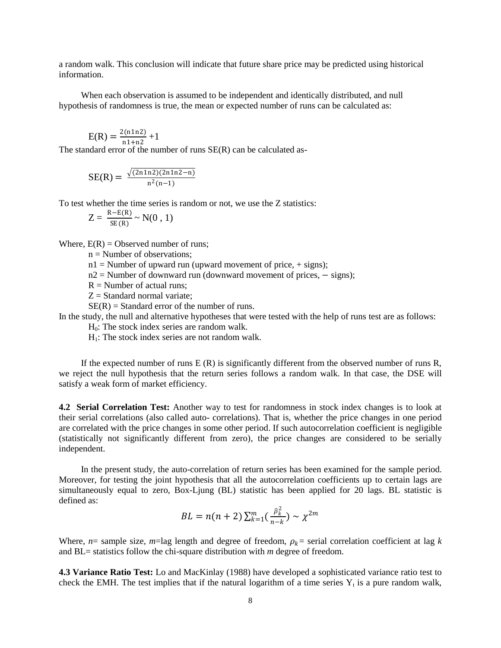a random walk. This conclusion will indicate that future share price may be predicted using historical information.

When each observation is assumed to be independent and identically distributed, and null hypothesis of randomness is true, the mean or expected number of runs can be calculated as:

$$
E(R) = \frac{2(n1n2)}{n1+n2} + 1
$$

The standard error of the number of runs SE(R) can be calculated as-

$$
SE(R) = \frac{\sqrt{(2n1n2)(2n1n2 - n)}}{n^2(n-1)}
$$

To test whether the time series is random or not, we use the Z statistics:

$$
Z = \frac{R - E(R)}{SE(R)} \sim N(0, 1)
$$

Where,  $E(R) =$  Observed number of runs;

 $n =$  Number of observations;

 $n1 =$  Number of upward run (upward movement of price,  $+$  signs);

n2 = Number of downward run (downward movement of prices, – signs);

 $R =$  Number of actual runs:

 $Z =$  Standard normal variate:

 $SE(R) = Standard error of the number of runs.$ 

In the study, the null and alternative hypotheses that were tested with the help of runs test are as follows:

 $H<sub>0</sub>$ : The stock index series are random walk.

 $H<sub>1</sub>$ : The stock index series are not random walk.

If the expected number of runs  $E(R)$  is significantly different from the observed number of runs R, we reject the null hypothesis that the return series follows a random walk. In that case, the DSE will satisfy a weak form of market efficiency.

**4.2 Serial Correlation Test:** Another way to test for randomness in stock index changes is to look at their serial correlations (also called auto- correlations). That is, whether the price changes in one period are correlated with the price changes in some other period. If such autocorrelation coefficient is negligible (statistically not significantly different from zero), the price changes are considered to be serially independent.

In the present study, the auto-correlation of return series has been examined for the sample period. Moreover, for testing the joint hypothesis that all the autocorrelation coefficients up to certain lags are simultaneously equal to zero, Box-Ljung (BL) statistic has been applied for 20 lags. BL statistic is defined as:

$$
BL = n(n+2) \sum_{k=1}^{m} \left( \frac{\hat{\rho}_k^2}{n-k} \right) \sim \chi^{2m}
$$

Where,  $n=$  sample size,  $m=$ lag length and degree of freedom,  $\rho_k=$  serial correlation coefficient at lag  $k$ and BL= statistics follow the chi-square distribution with *m* degree of freedom.

**4.3 Variance Ratio Test:** Lo and MacKinlay (1988) have developed a sophisticated variance ratio test to check the EMH. The test implies that if the natural logarithm of a time series  $Y_t$  is a pure random walk,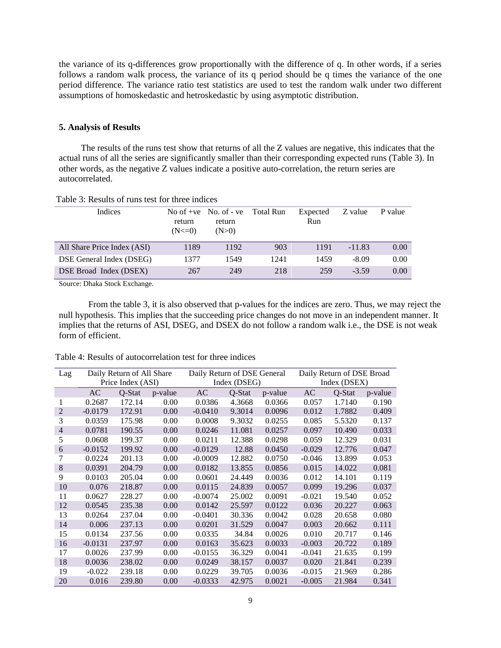the variance of its q-differences grow proportionally with the difference of q. In other words, if a series follows a random walk process, the variance of its q period should be q times the variance of the one period difference. The variance ratio test statistics are used to test the random walk under two different assumptions of homoskedastic and hetroskedastic by using asymptotic distribution.

### **5. Analysis of Results**

The results of the runs test show that returns of all the Z values are negative, this indicates that the actual runs of all the series are significantly smaller than their corresponding expected runs (Table 3). In other words, as the negative Z values indicate a positive auto-correlation, the return series are autocorrelated.

| <b>Indices</b>              | return<br>$(N < = 0)$ | No of $+ve$ No. of $-ve$<br>return<br>(N>0) | Total Run | Expected<br>Run | Z value  | P value |
|-----------------------------|-----------------------|---------------------------------------------|-----------|-----------------|----------|---------|
| All Share Price Index (ASI) | 1189                  | 1192                                        | 903       | 1191            | $-11.83$ | 0.00    |
| DSE General Index (DSEG)    | 1377                  | 1549                                        | 1241      | 1459            | $-8.09$  | 0.00    |
| DSE Broad Index (DSEX)      | 267                   | 249                                         | 218       | 259             | $-3.59$  | 0.00    |

Table 3: Results of runs test for three indices

Source: Dhaka Stock Exchange.

From the table 3, it is also observed that p-values for the indices are zero. Thus, we may reject the null hypothesis. This implies that the succeeding price changes do not move in an independent manner. It implies that the returns of ASI, DSEG, and DSEX do not follow a random walk i.e., the DSE is not weak form of efficient.

| Lag            |           | Daily Return of All Share |         |           | Daily Return of DSE General |         |          | Daily Return of DSE Broad |         |  |  |
|----------------|-----------|---------------------------|---------|-----------|-----------------------------|---------|----------|---------------------------|---------|--|--|
|                |           | Price Index (ASI)         |         |           | Index (DSEG)                |         |          | Index (DSEX)              |         |  |  |
|                | AC        | Q-Stat                    | p-value | AC        | Q-Stat                      | p-value | AC       | Q-Stat                    | p-value |  |  |
| 1              | 0.2687    | 172.14                    | 0.00    | 0.0386    | 4.3668                      | 0.0366  | 0.057    | 1.7140                    | 0.190   |  |  |
| 2              | $-0.0179$ | 172.91                    | 0.00    | $-0.0410$ | 9.3014                      | 0.0096  | 0.012    | 1.7882                    | 0.409   |  |  |
| 3              | 0.0359    | 175.98                    | 0.00    | 0.0008    | 9.3032                      | 0.0255  | 0.085    | 5.5320                    | 0.137   |  |  |
| $\overline{4}$ | 0.0781    | 190.55                    | 0.00    | 0.0246    | 11.081                      | 0.0257  | 0.097    | 10.490                    | 0.033   |  |  |
| 5              | 0.0608    | 199.37                    | 0.00    | 0.0211    | 12.388                      | 0.0298  | 0.059    | 12.329                    | 0.031   |  |  |
| 6              | $-0.0152$ | 199.92                    | 0.00    | $-0.0129$ | 12.88                       | 0.0450  | $-0.029$ | 12.776                    | 0.047   |  |  |
| 7              | 0.0224    | 201.13                    | 0.00    | $-0.0009$ | 12.882                      | 0.0750  | $-0.046$ | 13.899                    | 0.053   |  |  |
| 8              | 0.0391    | 204.79                    | 0.00    | 0.0182    | 13.855                      | 0.0856  | 0.015    | 14.022                    | 0.081   |  |  |
| 9              | 0.0103    | 205.04                    | 0.00    | 0.0601    | 24.449                      | 0.0036  | 0.012    | 14.101                    | 0.119   |  |  |
| 10             | 0.076     | 218.87                    | 0.00    | 0.0115    | 24.839                      | 0.0057  | 0.099    | 19.296                    | 0.037   |  |  |
| 11             | 0.0627    | 228.27                    | 0.00    | $-0.0074$ | 25.002                      | 0.0091  | $-0.021$ | 19.540                    | 0.052   |  |  |
| 12             | 0.0545    | 235.38                    | 0.00    | 0.0142    | 25.597                      | 0.0122  | 0.036    | 20.227                    | 0.063   |  |  |
| 13             | 0.0264    | 237.04                    | 0.00    | $-0.0401$ | 30.336                      | 0.0042  | 0.028    | 20.658                    | 0.080   |  |  |
| 14             | 0.006     | 237.13                    | 0.00    | 0.0201    | 31.529                      | 0.0047  | 0.003    | 20.662                    | 0.111   |  |  |
| 15             | 0.0134    | 237.56                    | 0.00    | 0.0335    | 34.84                       | 0.0026  | 0.010    | 20.717                    | 0.146   |  |  |
| 16             | $-0.0131$ | 237.97                    | 0.00    | 0.0163    | 35.623                      | 0.0033  | $-0.003$ | 20.722                    | 0.189   |  |  |
| 17             | 0.0026    | 237.99                    | 0.00    | $-0.0155$ | 36.329                      | 0.0041  | $-0.041$ | 21.635                    | 0.199   |  |  |
| 18             | 0.0036    | 238.02                    | 0.00    | 0.0249    | 38.157                      | 0.0037  | 0.020    | 21.841                    | 0.239   |  |  |
| 19             | $-0.022$  | 239.18                    | 0.00    | 0.0229    | 39.705                      | 0.0036  | $-0.015$ | 21.969                    | 0.286   |  |  |
| 20             | 0.016     | 239.80                    | 0.00    | $-0.0333$ | 42.975                      | 0.0021  | $-0.005$ | 21.984                    | 0.341   |  |  |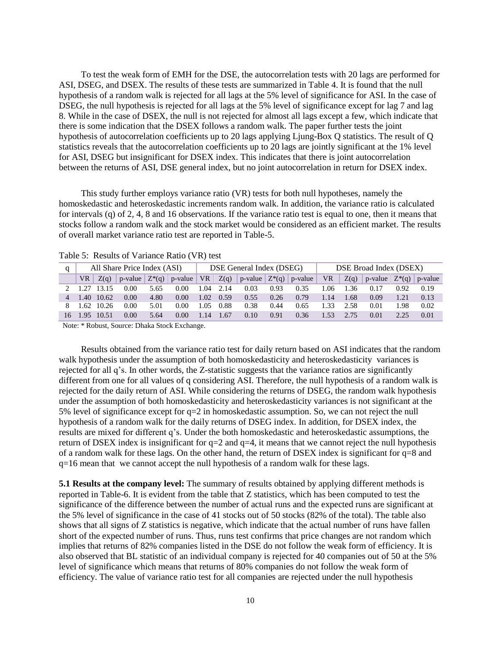To test the weak form of EMH for the DSE, the autocorrelation tests with 20 lags are performed for ASI, DSEG, and DSEX. The results of these tests are summarized in Table 4. It is found that the null hypothesis of a random walk is rejected for all lags at the 5% level of significance for ASI. In the case of DSEG, the null hypothesis is rejected for all lags at the 5% level of significance except for lag 7 and lag 8. While in the case of DSEX, the null is not rejected for almost all lags except a few, which indicate that there is some indication that the DSEX follows a random walk. The paper further tests the joint hypothesis of autocorrelation coefficients up to 20 lags applying Ljung-Box Q statistics. The result of Q statistics reveals that the autocorrelation coefficients up to 20 lags are jointly significant at the 1% level for ASI, DSEG but insignificant for DSEX index. This indicates that there is joint autocorrelation between the returns of ASI, DSE general index, but no joint autocorrelation in return for DSEX index.

This study further employs variance ratio (VR) tests for both null hypotheses, namely the homoskedastic and heteroskedastic increments random walk. In addition, the variance ratio is calculated for intervals (q) of 2, 4, 8 and 16 observations. If the variance ratio test is equal to one, then it means that stocks follow a random walk and the stock market would be considered as an efficient market. The results of overall market variance ratio test are reported in Table-5.

|    | All Share Price Index (ASI) |            |      |      | DSE General Index (DSEG) |       |      |      | DSE Broad Index (DSEX) |                                                          |      |      |                                                            |      |      |
|----|-----------------------------|------------|------|------|--------------------------|-------|------|------|------------------------|----------------------------------------------------------|------|------|------------------------------------------------------------|------|------|
|    | VR                          | Z(q)       |      |      | p-value $Z^*(q)$ p-value |       |      |      |                        | VR $\mid Z(q) \mid p$ -value $\mid Z^*(q) \mid p$ -value | VR.  | Z(q) | $\vert$ p-value $\vert$ Z <sup>*</sup> (q) $\vert$ p-value |      |      |
|    |                             |            | 0.00 | 5.65 | 0.00                     | 1.04  | 2.14 | 0.03 | 0.93                   | 0.35                                                     | 06   | 1.36 | 0.17                                                       | 0.92 | 0.19 |
| 4  |                             | 1.40 10.62 | 0.00 | 4.80 | 0.00                     | 1.02. | 0.59 | 0.55 | 0.26                   | 0.79                                                     | 1.14 | 1.68 | 0.09                                                       | 1.21 | 0.13 |
|    |                             | 1.62 10.26 | 0.00 | 5.01 | 0.00                     | 1.05  | 0.88 | 0.38 | 0.44                   | 0.65                                                     | 1.33 | 2.58 | 0.01                                                       | 1.98 | 0.02 |
| 16 | .95                         | 10.51      | 0.00 | 5.64 | 0.00                     | 1.14  | 1.67 | 0.10 | 0.91                   | 0.36                                                     | 1.53 | 2.75 | 0.01                                                       |      | 0.01 |

Table 5: Results of Variance Ratio (VR) test

Note: \* Robust, Source: Dhaka Stock Exchange.

Results obtained from the variance ratio test for daily return based on ASI indicates that the random walk hypothesis under the assumption of both homoskedasticity and heteroskedasticity variances is rejected for all q's. In other words, the Z-statistic suggests that the variance ratios are significantly different from one for all values of q considering ASI. Therefore, the null hypothesis of a random walk is rejected for the daily return of ASI. While considering the returns of DSEG, the random walk hypothesis under the assumption of both homoskedasticity and heteroskedasticity variances is not significant at the 5% level of significance except for q=2 in homoskedastic assumption. So, we can not reject the null hypothesis of a random walk for the daily returns of DSEG index. In addition, for DSEX index, the results are mixed for different q's. Under the both homoskedastic and heteroskedastic assumptions, the return of DSEX index is insignificant for  $q=2$  and  $q=4$ , it means that we cannot reject the null hypothesis of a random walk for these lags. On the other hand, the return of DSEX index is significant for q=8 and q=16 mean that we cannot accept the null hypothesis of a random walk for these lags.

**5.1 Results at the company level:** The summary of results obtained by applying different methods is reported in Table-6. It is evident from the table that Z statistics, which has been computed to test the significance of the difference between the number of actual runs and the expected runs are significant at the 5% level of significance in the case of 41 stocks out of 50 stocks (82% of the total). The table also shows that all signs of Z statistics is negative, which indicate that the actual number of runs have fallen short of the expected number of runs. Thus, runs test confirms that price changes are not random which implies that returns of 82% companies listed in the DSE do not follow the weak form of efficiency. It is also observed that BL statistic of an individual company is rejected for 40 companies out of 50 at the 5% level of significance which means that returns of 80% companies do not follow the weak form of efficiency. The value of variance ratio test for all companies are rejected under the null hypothesis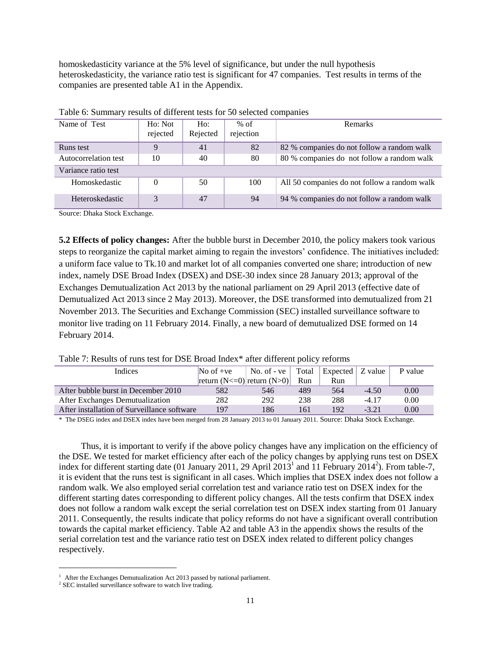homoskedasticity variance at the 5% level of significance, but under the null hypothesis heteroskedasticity, the variance ratio test is significant for 47 companies. Test results in terms of the companies are presented table A1 in the Appendix.

| Tuolo of Bullman ; Tobullo of unferom todo for 50 belected compumed |          |          |           |                                              |  |  |  |  |  |  |
|---------------------------------------------------------------------|----------|----------|-----------|----------------------------------------------|--|--|--|--|--|--|
| Name of Test                                                        | Ho: Not  | $H_0$ :  | $%$ of    | <b>Remarks</b>                               |  |  |  |  |  |  |
|                                                                     | rejected | Rejected | rejection |                                              |  |  |  |  |  |  |
| Runs test                                                           |          | 41       | 82        | 82 % companies do not follow a random walk   |  |  |  |  |  |  |
| Autocorrelation test                                                | 10       | 40       | 80        | 80 % companies do not follow a random walk   |  |  |  |  |  |  |
| Variance ratio test                                                 |          |          |           |                                              |  |  |  |  |  |  |
| Homoskedastic                                                       | 0        | 50       | 100       | All 50 companies do not follow a random walk |  |  |  |  |  |  |
| Heteroskedastic                                                     | 3        | 47       | 94        | 94 % companies do not follow a random walk   |  |  |  |  |  |  |

| Table 6: Summary results of different tests for 50 selected companies |  |  |  |  |  |
|-----------------------------------------------------------------------|--|--|--|--|--|
|-----------------------------------------------------------------------|--|--|--|--|--|

Source: Dhaka Stock Exchange.

**5.2 Effects of policy changes:** After the bubble burst in December 2010, the policy makers took various steps to reorganize the capital market aiming to regain the investors' confidence. The initiatives included: a uniform face value to Tk.10 and market lot of all companies converted one share; introduction of new index, namely DSE Broad Index (DSEX) and DSE-30 index since 28 January 2013; approval of the Exchanges Demutualization Act 2013 by the national parliament on 29 April 2013 (effective date of Demutualized Act 2013 since 2 May 2013). Moreover, the DSE transformed into demutualized from 21 November 2013. The Securities and Exchange Commission (SEC) installed surveillance software to monitor live trading on 11 February 2014. Finally, a new board of demutualized DSE formed on 14 February 2014.

|  |  | Table 7: Results of runs test for DSE Broad Index* after different policy reforms |
|--|--|-----------------------------------------------------------------------------------|
|--|--|-----------------------------------------------------------------------------------|

| Indices                                     | No of $+ve$                       | No. of - $ve$ Total |     | Expected | Z value | P value |
|---------------------------------------------|-----------------------------------|---------------------|-----|----------|---------|---------|
|                                             | return $(N < 0)$ return $(N > 0)$ |                     | Run | Run      |         |         |
| After bubble burst in December 2010         | 582                               | 546                 | 489 | 564      | $-4.50$ | 0.00    |
| After Exchanges Demutualization             | 282                               | 292                 | 238 | 288      | $-4.17$ | 0.00    |
| After installation of Surveillance software | 197                               | 186                 | 161 | 192      | $-3.21$ | 0.00    |

\* The DSEG index and DSEX index have been merged from 28 January 2013 to 01 January 2011. Source: Dhaka Stock Exchange.

Thus, it is important to verify if the above policy changes have any implication on the efficiency of the DSE. We tested for market efficiency after each of the policy changes by applying runs test on DSEX index for different starting date (01 January 2011, 29 April  $2013<sup>1</sup>$  and 11 February 2014<sup>2</sup>). From table-7, it is evident that the runs test is significant in all cases. Which implies that DSEX index does not follow a random walk. We also employed serial correlation test and variance ratio test on DSEX index for the different starting dates corresponding to different policy changes. All the tests confirm that DSEX index does not follow a random walk except the serial correlation test on DSEX index starting from 01 January 2011. Consequently, the results indicate that policy reforms do not have a significant overall contribution towards the capital market efficiency. Table A2 and table A3 in the appendix shows the results of the serial correlation test and the variance ratio test on DSEX index related to different policy changes respectively.

 $1$  After the Exchanges Demutualization Act 2013 passed by national parliament.

<sup>&</sup>lt;sup>2</sup> SEC installed surveillance software to watch live trading.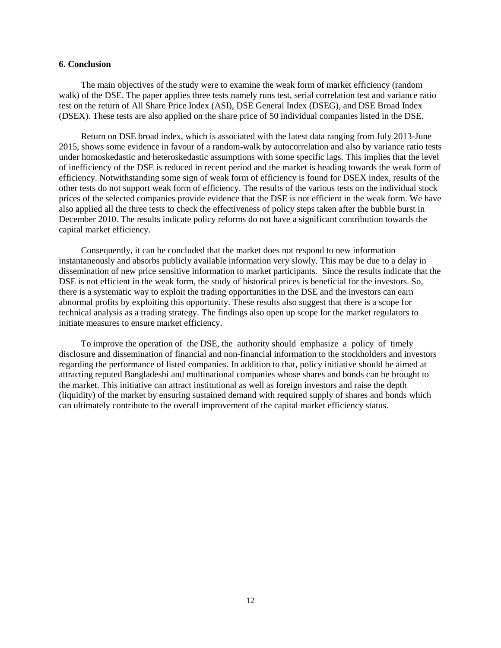#### **6. Conclusion**

The main objectives of the study were to examine the weak form of market efficiency (random walk) of the DSE. The paper applies three tests namely runs test, serial correlation test and variance ratio test on the return of All Share Price Index (ASI), DSE General Index (DSEG), and DSE Broad Index (DSEX). These tests are also applied on the share price of 50 individual companies listed in the DSE.

Return on DSE broad index, which is associated with the latest data ranging from July 2013-June 2015, shows some evidence in favour of a random-walk by autocorrelation and also by variance ratio tests under homoskedastic and heteroskedastic assumptions with some specific lags. This implies that the level of inefficiency of the DSE is reduced in recent period and the market is heading towards the weak form of efficiency. Notwithstanding some sign of weak form of efficiency is found for DSEX index, results of the other tests do not support weak form of efficiency. The results of the various tests on the individual stock prices of the selected companies provide evidence that the DSE is not efficient in the weak form. We have also applied all the three tests to check the effectiveness of policy steps taken after the bubble burst in December 2010. The results indicate policy reforms do not have a significant contribution towards the capital market efficiency.

Consequently, it can be concluded that the market does not respond to new information instantaneously and absorbs publicly available information very slowly. This may be due to a delay in dissemination of new price sensitive information to market participants. Since the results indicate that the DSE is not efficient in the weak form, the study of historical prices is beneficial for the investors. So, there is a systematic way to exploit the trading opportunities in the DSE and the investors can earn abnormal profits by exploiting this opportunity. These results also suggest that there is a scope for technical analysis as a trading strategy. The findings also open up scope for the market regulators to initiate measures to ensure market efficiency.

To improve the operation of the DSE, the authority should emphasize a policy of timely disclosure and dissemination of financial and non-financial information to the stockholders and investors regarding the performance of listed companies. In addition to that, policy initiative should be aimed at attracting reputed Bangladeshi and multinational companies whose shares and bonds can be brought to the market. This initiative can attract institutional as well as foreign investors and raise the depth (liquidity) of the market by ensuring sustained demand with required supply of shares and bonds which can ultimately contribute to the overall improvement of the capital market efficiency status.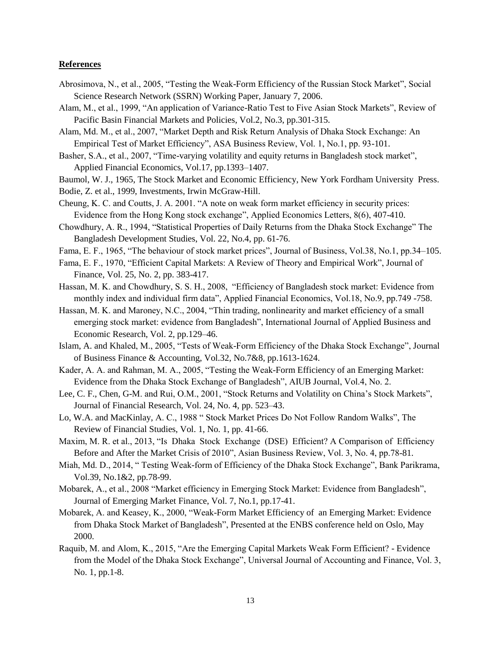## **References**

- Abrosimova, N., et al., 2005, "Testing the Weak-Form Efficiency of the Russian Stock Market", Social Science Research Network (SSRN) Working Paper, January 7, 2006.
- Alam, M., et al., 1999, "An application of Variance-Ratio Test to Five Asian Stock Markets", Review of Pacific Basin Financial Markets and Policies, Vol.2, No.3, pp.301-315.
- Alam, Md. M., et al., 2007, "Market Depth and Risk Return Analysis of Dhaka Stock Exchange: An Empirical Test of Market Efficiency", ASA Business Review, Vol. 1, No.1, pp. 93-101.
- Basher, S.A., et al., 2007, "Time-varying volatility and equity returns in Bangladesh stock market", Applied Financial Economics, Vol.17, pp.1393–1407.
- Baumol, W. J., 1965, The Stock Market and Economic Efficiency, New York Fordham University Press.
- Bodie, Z. et al., 1999, Investments, Irwin McGraw-Hill.
- Cheung, K. C. and Coutts, J. A. 2001. "A note on weak form market efficiency in security prices: Evidence from the Hong Kong stock exchange", Applied Economics Letters,  $8(6)$ ,  $407-410$ .
- Chowdhury, A. R., 1994, "Statistical Properties of Daily Returns from the Dhaka Stock Exchange" The Bangladesh Development Studies, Vol. 22, No.4, pp. 61-76.
- Fama, E. F., 1965, "The behaviour of stock market prices", Journal of Business, Vol.38, No.1, pp.34–105.
- Fama, E. F., 1970, "Efficient Capital Markets: A Review of Theory and Empirical Work", Journal of Finance, Vol. 25, No. 2, pp. 383-417.
- Hassan, M. K. and Chowdhury, S. S. H., 2008, "Efficiency of Bangladesh stock market: Evidence from monthly index and individual firm data", Applied Financial Economics, Vol.18, No.9, pp.749 -758.
- Hassan, M. K. and Maroney, N.C., 2004, "Thin trading, nonlinearity and market efficiency of a small emerging stock market: evidence from Bangladesh", International Journal of Applied Business and Economic Research, Vol. 2, pp.129–46.
- Islam, A. and Khaled, M., 2005, "Tests of Weak-Form Efficiency of the Dhaka Stock Exchange", Journal of Business Finance & Accounting, Vol.32, No.7&8, pp.1613-1624.
- Kader, A. A. and Rahman, M. A., 2005, "Testing the Weak-Form Efficiency of an Emerging Market: Evidence from the Dhaka Stock Exchange of Bangladesh", AIUB Journal, Vol.4, No. 2.
- Lee, C. F., Chen, G-M. and Rui, O.M., 2001, "Stock Returns and Volatility on China's Stock Markets", Journal of Financial Research, Vol. 24, No. 4, pp. 523–43.
- Lo, W.A. and MacKinlay, A. C., 1988 " Stock Market Prices Do Not Follow Random Walks", The Review of Financial Studies, Vol. 1, No. 1, pp. 41-66.
- Maxim, M. R. et al., 2013, "Is Dhaka Stock Exchange (DSE) Efficient? A Comparison of Efficiency Before and After the Market Crisis of 2010", Asian Business Review, Vol. 3, No. 4, pp.78-81.
- Miah, Md. D., 2014, "Testing Weak-form of Efficiency of the Dhaka Stock Exchange", Bank Parikrama, Vol.39, No.1&2, pp.78-99.
- Mobarek, A., et al., 2008 "Market efficiency in Emerging Stock Market: Evidence from Bangladesh", Journal of Emerging Market Finance, Vol. 7, No.1, pp.17-41.
- Mobarek, A. and Keasey, K., 2000, "Weak-Form Market Efficiency of an Emerging Market: Evidence from Dhaka Stock Market of Bangladesh", Presented at the ENBS conference held on Oslo, May 2000.
- Raquib, M. and Alom, K., 2015, "Are the Emerging Capital Markets Weak Form Efficient? Evidence from the Model of the Dhaka Stock Exchange", Universal Journal of Accounting and Finance, Vol. 3, No. 1, pp.1-8.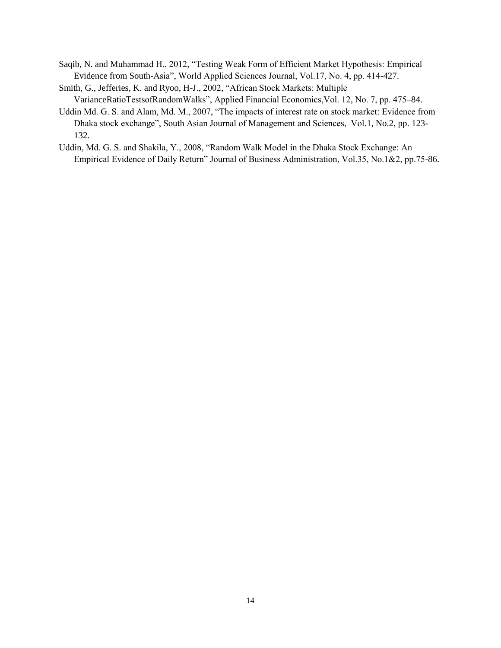- Saqib, N. and Muhammad H., 2012, "Testing Weak Form of Efficient Market Hypothesis: Empirical Evidence from South-Asia", World Applied Sciences Journal, Vol.17, No. 4, pp. 414-427.
- Smith, G., Jefferies, K. and Ryoo, H-J., 2002, "African Stock Markets: Multiple VarianceRatioTestsofRandomWalks‖, Applied Financial Economics,Vol. 12, No. 7, pp. 475–84.
- Uddin Md. G. S. and Alam, Md. M., 2007, "The impacts of interest rate on stock market: Evidence from Dhaka stock exchange", South Asian Journal of Management and Sciences, Vol.1, No.2, pp. 123-132.
- Uddin, Md. G. S. and Shakila, Y., 2008, "Random Walk Model in the Dhaka Stock Exchange: An Empirical Evidence of Daily Return" Journal of Business Administration, Vol.35, No.1&2, pp.75-86.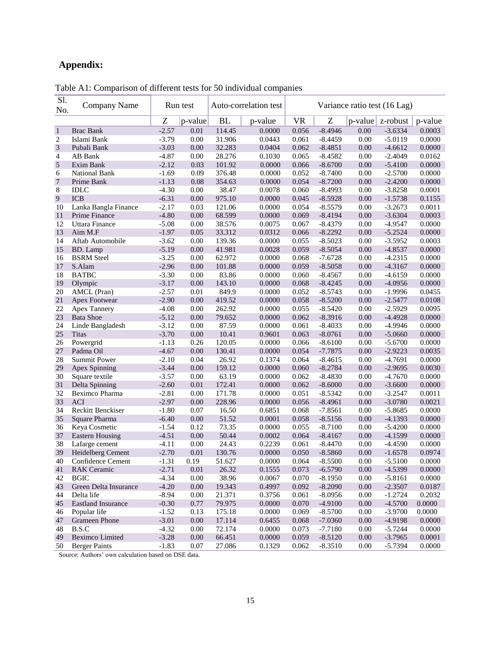# **Appendix:**

| Sl.<br>No.     | Company Name              |         | Run test |           | Auto-correlation test | Variance ratio test (16 Lag) |           |            |           |         |
|----------------|---------------------------|---------|----------|-----------|-----------------------|------------------------------|-----------|------------|-----------|---------|
|                |                           | Z       | p-value  | <b>BL</b> | p-value               | <b>VR</b>                    | Z         | $p$ -value | z-robust  | p-value |
| $\mathbf{1}$   | <b>Brac Bank</b>          | $-2.57$ | 0.01     | 114.45    | 0.0000                | 0.056                        | $-8.4946$ | 0.00       | $-3.6334$ | 0.0003  |
| 2              | Islami Bank               | $-3.79$ | 0.00     | 31.906    | 0.0443                | 0.061                        | $-8.4459$ | 0.00       | $-5.0119$ | 0.0000  |
| $\mathfrak{Z}$ | Pubali Bank               | $-3.03$ | 0.00     | 32.283    | 0.0404                | 0.062                        | $-8.4851$ | 0.00       | $-4.6612$ | 0.0000  |
| 4              | AB Bank                   | $-4.87$ | 0.00     | 28.276    | 0.1030                | 0.065                        | $-8.4582$ | 0.00       | $-2.4049$ | 0.0162  |
| $\sqrt{5}$     | Exim Bank                 | $-2.12$ | 0.03     | 101.92    | 0.0000                | 0.066                        | $-8.6700$ | 0.00       | $-5.4100$ | 0.0000  |
| 6              | National Bank             | $-1.69$ | 0.09     | 376.48    | 0.0000                | 0.052                        | $-8.7400$ | 0.00       | $-2.5700$ | 0.0000  |
| $\overline{7}$ | Prime Bank                | $-1.13$ | 0.08     | 354.63    | 0.0000                | 0.054                        | $-8.7200$ | 0.00       | $-2.4200$ | 0.0000  |
| 8              | <b>IDLC</b>               | $-4.30$ | 0.00     | 38.47     | 0.0078                | 0.060                        | $-8.4993$ | 0.00       | $-3.8258$ | 0.0001  |
| $\overline{9}$ | <b>ICB</b>                | $-6.31$ | 0.00     | 975.10    | 0.0000                | 0.045                        | $-8.5928$ | 0.00       | $-1.5738$ | 0.1155  |
| 10             | Lanka Bangla Finance      | $-2.17$ | 0.03     | 121.06    | 0.0000                | 0.054                        | $-8.5579$ | 0.00       | $-3.2673$ | 0.0011  |
| 11             | Prime Finance             | $-4.80$ | 0.00     | 68.599    | 0.0000                | 0.069                        | $-8.4194$ | 0.00       | $-3.6304$ | 0.0003  |
| 12             | Uttara Finance            | $-5.08$ | 0.00     | 38.576    | 0.0075                | 0.067                        | $-8.4379$ | 0.00       | $-4.9547$ | 0.0000  |
| 13             | Aim M.F                   | $-1.97$ | 0.05     | 33.312    | 0.0312                | 0.066                        | $-8.2292$ | 0.00       | $-5.2524$ | 0.0000  |
| 14             | Aftab Automobile          | $-3.62$ | 0.00     | 139.36    | 0.0000                | 0.055                        | $-8.5023$ | 0.00       | $-3.5952$ | 0.0003  |
| 15             | BD. Lamp                  | $-5.19$ | 0.00     | 41.981    | 0.0028                | 0.059                        | $-8.5054$ | 0.00       | $-4.8537$ | 0.0000  |
| 16             | <b>BSRM</b> Steel         | $-3.25$ | 0.00     | 62.972    | 0.0000                | 0.068                        | $-7.6728$ | 0.00       | $-4.2315$ | 0.0000  |
| 17             | S.Alam                    | $-2.96$ | 0.00     | 101.88    | 0.0000                | 0.059                        | $-8.5058$ | 0.00       | $-4.3167$ | 0.0000  |
| 18             | <b>BATBC</b>              | $-3.30$ | 0.00     | 83.86     | 0.0000                | 0.060                        | $-8.4567$ | 0.00       | $-4.6159$ | 0.0000  |
| 19             | Olympic                   | $-3.17$ | 0.00     | 143.10    | 0.0000                | 0.068                        | $-8.4245$ | 0.00       | $-4.0956$ | 0.0000  |
| 20             | AMCL (Pran)               | $-2.57$ | 0.01     | 849.9     | 0.0000                | 0.052                        | $-8.5743$ | 0.00       | $-1.9996$ | 0.0455  |
| 21             | Apex Footwear             | $-2.90$ | 0.00     | 419.52    | 0.0000                | 0.058                        | $-8.5200$ | 0.00       | $-2.5477$ | 0.0108  |
| 22             | <b>Apex Tannery</b>       | $-4.08$ | 0.00     | 262.92    | 0.0000                | 0.055                        | $-8.5420$ | 0.00       | $-2.5929$ | 0.0095  |
| 23             | <b>Bata Shoe</b>          | $-5.12$ | 0.00     | 79.652    | 0.0000                | 0.062                        | $-8.3916$ | 0.00       | $-4.4928$ | 0.0000  |
| 24             | Linde Bangladesh          | $-3.12$ | 0.00     | 87.59     | 0.0000                | 0.061                        | $-8.4033$ | 0.00       | $-4.9946$ | 0.0000  |
| 25             | <b>Titas</b>              | $-3.70$ | 0.00     | 10.41     | 0.9601                | 0.063                        | $-8.0761$ | 0.00       | $-5.0660$ | 0.0000  |
| 26             | Powergrid                 | $-1.13$ | 0.26     | 120.05    | 0.0000                | 0.066                        | $-8.6100$ | 0.00       | $-5.6700$ | 0.0000  |
| 27             | Padma Oil                 | $-4.67$ | 0.00     | 130.41    | 0.0000                | 0.054                        | $-7.7875$ | 0.00       | $-2.9223$ | 0.0035  |
| 28             | <b>Summit Power</b>       | $-2.10$ | 0.04     | 26.92     | 0.1374                | 0.064                        | $-8.4615$ | 0.00       | $-4.7691$ | 0.0000  |
| 29             | Apex Spinning             | $-3.44$ | 0.00     | 159.12    | 0.0000                | 0.060                        | $-8.2784$ | 0.00       | $-2.9695$ | 0.0030  |
| 30             | Square textile            | $-3.57$ | 0.00     | 63.19     | 0.0000                | 0.062                        | $-8.4830$ | 0.00       | $-4.7670$ | 0.0000  |
| 31             | Delta Spinning            | $-2.60$ | 0.01     | 172.41    | 0.0000                | 0.062                        | $-8.6000$ | 0.00       | $-3.6600$ | 0.0000  |
| 32             | Beximco Pharma            | $-2.81$ | 0.00     | 171.78    | 0.0000                | 0.051                        | $-8.5342$ | 0.00       | $-3.2547$ | 0.0011  |
| 33             | <b>ACI</b>                | $-2.97$ | 0.00     | 228.96    | 0.0000                | 0.056                        | $-8.4961$ | 0.00       | $-3.0780$ | 0.0021  |
| 34             | Reckitt Benckiser         | $-1.80$ | 0.07     | 16.50     | 0.6851                | 0.068                        | $-7.8561$ | 0.00       | $-5.8685$ | 0.0000  |
| 35             | Square Pharma             | $-6.40$ | 0.00     | 51.52     | 0.0001                | 0.058                        | $-8.5156$ | 0.00       | $-4.1393$ | 0.0000  |
| 36             | Keya Cosmetic             | $-1.54$ | 0.12     | 73.35     | 0.0000                | 0.055                        | $-8.7100$ | 0.00       | $-5.4200$ | 0.0000  |
| 37             | <b>Eastern Housing</b>    | $-4.51$ | 0.00     | 50.44     | 0.0002                | 0.064                        | $-8.4167$ | 0.00       | $-4.1599$ | 0.0000  |
| 38             | Lafarge cement            | $-4.11$ | 0.00     | 24.43     | 0.2239                | 0.061                        | $-8.4470$ | 0.00       | $-4.4590$ | 0.0000  |
| 39             | Heidelberg Cement         | $-2.70$ | 0.01     | 130.76    | 0.0000                | 0.050                        | $-8.5860$ | 0.00       | $-1.6578$ | 0.0974  |
| 40             | Confidence Cement         | $-1.31$ | 0.19     | 51.627    | 0.0000                | 0.064                        | $-8.5500$ | 0.00       | $-5.5100$ | 0.0000  |
| 41             | <b>RAK</b> Ceramic        | $-2.71$ | $0.01\,$ | 26.32     | 0.1555                | 0.073                        | $-6.5790$ | 0.00       | $-4.5399$ | 0.0000  |
| 42             | <b>BGIC</b>               | $-4.34$ | 0.00     | 38.96     | 0.0067                | 0.070                        | $-8.1950$ | 0.00       | $-5.8161$ | 0.0000  |
| 43             | Green Delta Insurance     | $-4.20$ | 0.00     | 19.343    | 0.4997                | 0.092                        | $-8.2090$ | 0.00       | $-2.3507$ | 0.0187  |
| 44             | Delta life                | $-8.94$ | 0.00     | 21.371    | 0.3756                | 0.061                        | $-8.0956$ | 0.00       | $-1.2724$ | 0.2032  |
| 45             | <b>Eastland Insurance</b> | $-0.30$ | 0.77     | 79.975    | 0.0000                | 0.070                        | $-4.9100$ | 0.00       | $-4.5700$ | 0.0000  |
| 46             | Popular life              | $-1.52$ | 0.13     | 175.18    | 0.0000                | 0.069                        | $-8.5700$ | 0.00       | $-3.9700$ | 0.0000  |
| 47             | Grameen Phone             | $-3.01$ | 0.00     | 17.114    | 0.6455                | 0.068                        | $-7.0360$ | 0.00       | -4.9198   | 0.0000  |
| 48             | B.S.C                     | $-4.32$ | 0.00     | 72.174    | 0.0000                | 0.073                        | $-7.7180$ | 0.00       | $-5.7244$ | 0.0000  |
| 49             | <b>Beximco Limited</b>    | $-3.28$ | 0.00     | 66.451    | 0.0000                | 0.059                        | $-8.5120$ | 0.00       | $-3.7965$ | 0.0001  |
| 50             | <b>Berger Paints</b>      | $-1.83$ | 0.07     | 27.086    | 0.1329                | 0.062                        | $-8.3510$ | 0.00       | $-5.7394$ | 0.0000  |

Table A1: Comparison of different tests for 50 individual companies

Source: Authors' own calculation based on DSE data.